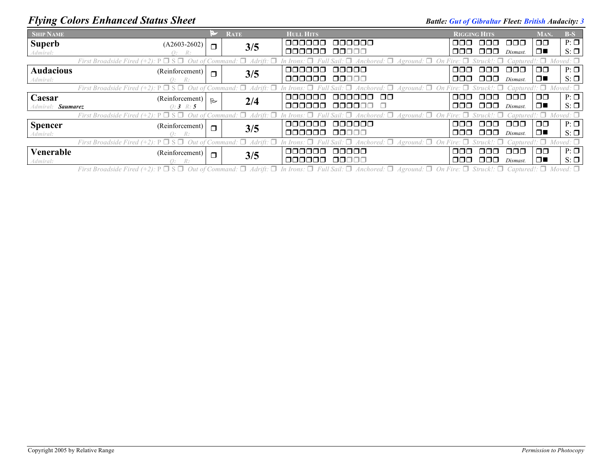## *Flying Colors Enhanced Status Sheet* **Battle:** *Gut of Gibraltar Fleet: British Audacity: 3 Battle: Gut of Gibraltar Fleet: British Audacity: 3*

| <b>SHIP NAME</b>                                                                                                                                                                                                         |                 |                | <b>RATE</b> | <b>HULL HITS</b>        |            | <b>RIGGING HITS</b>                     |          | MAN.          | $B-S$     |  |
|--------------------------------------------------------------------------------------------------------------------------------------------------------------------------------------------------------------------------|-----------------|----------------|-------------|-------------------------|------------|-----------------------------------------|----------|---------------|-----------|--|
| <b>Superb</b>                                                                                                                                                                                                            | $(A2603-2602)$  | $\Box$         | 3/5         | <u>oooooo</u><br>000000 | nnn.       | 8888                                    | 8888     | $\Box$        | $P: \Box$ |  |
| Admiral:                                                                                                                                                                                                                 | Q: R:           |                |             | 000000 00000            |            | ,000 000                                | Dismast. | $\Box$        | $S: \Box$ |  |
| First Broadside Fired (+2): $P \Box S \Box$ Out of Command: $\Box$ Adrift: $\Box$ In Irons: $\Box$ Full Sail: $\Box$ Anchored: $\Box$ Aground: $\Box$ On Fire: $\Box$ Struck!: $\Box$ Captured!: $\Box$ Moved: $\Box$    |                 |                |             |                         |            |                                         |          |               |           |  |
| <b>Audacious</b>                                                                                                                                                                                                         | (Reinforcement) | $\Box$         | 3/5         | 000000 00000            |            | 000 000 000                             |          | $\Box$ $\Box$ | $P: \Box$ |  |
| Admiral:                                                                                                                                                                                                                 | O: R:           |                |             | 000000 00000            |            | $\Box$ $\Box$ $\Box$ $\Box$ $Dismast$ . |          | $\Box$        | $S: \Box$ |  |
| First Broadside Fired (+2): $P \Box S \Box$ Out of Command: $\Box$ Adrift: $\Box$ In Irons: $\Box$ Full Sail: $\Box$ Anchored: $\Box$ Aground: $\Box$ On Fire: $\Box$ Struck!: $\Box$ Captured!: $\Box$ Moved: $\Box$    |                 |                |             |                         |            |                                         |          |               |           |  |
| Caesar                                                                                                                                                                                                                   | (Reinforcement) | $\overline{R}$ |             | 000000<br>000000 00     |            | 000 000 000                             |          | $\Box$ $\Box$ | $P: \Box$ |  |
| Admiral: Saumarez                                                                                                                                                                                                        | $O: 3 \; R: 5$  |                | 2/4         | 000000 000000 O         |            | $\Box$ $\Box$ $\Box$ $\Box$ $Dismast$ . |          | $\Box$        | $S: \Box$ |  |
| First Broadside Fired (+2): $P \Box S \Box$ Out of Command: $\Box$ Adrift: $\Box$ In Irons: $\Box$ Full Sail: $\Box$ Anchored: $\Box$ Aground: $\Box$ On Fire: $\Box$ Struck!: $\Box$ Captured!: $\Box$<br>$Moved: \Box$ |                 |                |             |                         |            |                                         |          |               |           |  |
| <b>Spencer</b>                                                                                                                                                                                                           | (Reinforcement) | $\Box$         | 3/5         | 000000 000000           |            | 000 000 000.                            |          | $\Box$ $\Box$ | $P: \Box$ |  |
| Admiral:                                                                                                                                                                                                                 | O: R:           |                |             | 000000 00000            |            | 000 000                                 | Dismast. | $\Box$        | $S: \Box$ |  |
| First Broadside Fired (+2): $P \Box S \Box$ Out of Command: $\Box$ Adrift: $\Box$ In Irons: $\Box$ Full Sail: $\Box$ Anchored: $\Box$ Aground: $\Box$ On Fire: $\Box$ Struck!: $\Box$ Captured!: $\Box$ Moved: $\Box$    |                 |                |             |                         |            |                                         |          |               |           |  |
| Venerable                                                                                                                                                                                                                | (Reinforcement) | $\Box$         | 3/5         | 00000<br><u>oooooo</u>  | <u>nnn</u> | . OOO                                   | 000      | ⊓⊓            | $P: \Box$ |  |
| Admiral:                                                                                                                                                                                                                 | O: R:           |                |             | 000000 00000            |            | $\Box$ $\Box$ $\Box$ $\Box$ $Dismast$ . |          | □■            | $S: \Box$ |  |

First Broadside Fired (+2):  $P \Box S \Box$  Out of Command:  $\Box$  Adrift:  $\Box$  In Irons:  $\Box$  Full Sail:  $\Box$  Anchored:  $\Box$  Aground:  $\Box$  On Fire:  $\Box$  Struck!:  $\Box$  Captured!:  $\Box$  Moved:  $\Box$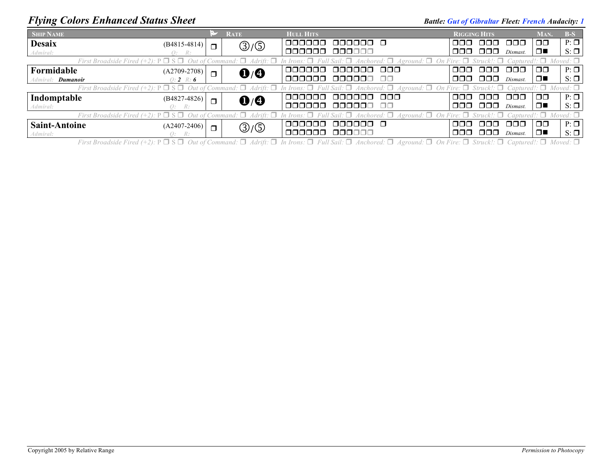## *Flying Colors Enhanced Status Sheet* **Battle:** *Gut of Gibraltar Fleet: French Audacity: 1*

| <b>SHIP NAME</b>                                                                                                                                                                                                      |                | <b>RATE</b>                                         |  | <b>HULL HITS</b>            |               | <b>RIGGING HITS</b> |             |                                        | MAN.   | $B-S$     |
|-----------------------------------------------------------------------------------------------------------------------------------------------------------------------------------------------------------------------|----------------|-----------------------------------------------------|--|-----------------------------|---------------|---------------------|-------------|----------------------------------------|--------|-----------|
| <b>Desaix</b>                                                                                                                                                                                                         | $(B4815-4814)$ | $\textcircled{3}/\textcircled{5}$<br>$\blacksquare$ |  | 000000<br>000000 0          |               | OOO .               | 000 000     |                                        | 00     | $P: \Box$ |
| Admiral:                                                                                                                                                                                                              | Q: R:          |                                                     |  | 000000<br>000000            |               |                     | 000 000     | Dismast.                               | □■     | $S: \Box$ |
| First Broadside Fired (+2): $P \Box S \Box$ Out of Command: $\Box$ Adrift: $\Box$ In Irons: $\Box$ Full Sail: $\Box$ Anchored: $\Box$ Aground: $\Box$ On Fire: $\Box$ Struck!: $\Box$ Captured!: $\Box$ Moved: $\Box$ |                |                                                     |  |                             |               |                     |             |                                        |        |           |
| Formidable                                                                                                                                                                                                            | $(A2709-2708)$ | $\mathbf{0}/\mathbf{0}$<br>$\Box$                   |  | 000000<br>oooooo            | . mm n        | ▁┌┐┌┐┌┐             | ooo.        | -000                                   | ⊐⊓     | $P: \Box$ |
| Admiral: <b>Dumanoir</b>                                                                                                                                                                                              | $0: 2 \ R: 6$  |                                                     |  | 000000<br>000000            | $\Box$ $\Box$ |                     | 000 000     | Dismast.                               | $\Box$ | $S: \Box$ |
| First Broadside Fired (+2): $P \Box S \Box$ Out of Command: $\Box$ Adrift: $\Box$ In Irons: $\Box$ Full Sail: $\Box$ Anchored: $\Box$ Aground: $\Box$ On Fire: $\Box$ Struck!: $\Box$ Captured!: $\Box$ Moved: $\Box$ |                |                                                     |  |                             |               |                     |             |                                        |        |           |
| Indomptable                                                                                                                                                                                                           | $(B4827-4826)$ | $\mathbf{0}/\mathbf{0}$<br>$\Box$                   |  | 000000 000<br><u>oooooo</u> |               |                     | 000 000 000 |                                        | ⊓⊓     | $P: \Box$ |
| Admiral:                                                                                                                                                                                                              | O: R:          |                                                     |  | 000000 000000 00            |               |                     |             | $\Box$ $\Box$ $\Box$ $\Box$ $Dismast.$ | $\Box$ | $S: \Box$ |
| First Broadside Fired (+2): $P \Box S \Box$ Out of Command: $\Box$ Adrift: $\Box$ In Irons: $\Box$ Full Sail: $\Box$ Anchored: $\Box$ Aground: $\Box$ On Fire: $\Box$ Struck!: $\Box$ Captured!: $\Box$ Moved: $\Box$ |                |                                                     |  |                             |               |                     |             |                                        |        |           |
| <b>Saint-Antoine</b>                                                                                                                                                                                                  | $(A2407-2406)$ | $\textcircled{3}/\textcircled{5}$<br>$\Box$         |  | 000000                      |               | ooo                 | ooo         | 000                                    | 00     | $P: \Box$ |
| Admiral:                                                                                                                                                                                                              | O: R:          |                                                     |  | 000000 000000               |               |                     | 000 000     | Dismast.                               | $\Box$ | $S: \Box$ |

First Broadside Fired (+2):  $P \Box S \Box$  Out of Command:  $\Box$  Adrift:  $\Box$  In Irons:  $\Box$  Full Sail:  $\Box$  Anchored:  $\Box$  Aground:  $\Box$  On Fire:  $\Box$  Struck!:  $\Box$  Captured!:  $\Box$  Moved:  $\Box$